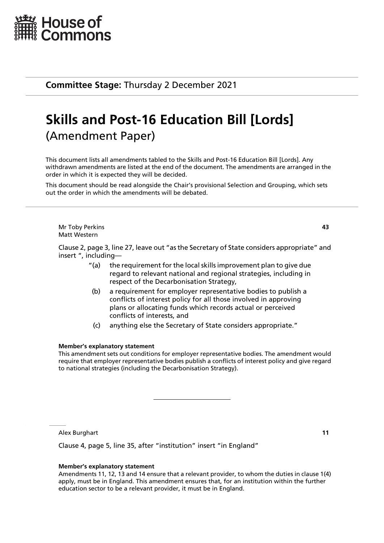

**Committee Stage:** Thursday 2 December 2021

# **Skills and Post-16 Education Bill [Lords]** (Amendment Paper)

This document lists all amendments tabled to the Skills and Post-16 Education Bill [Lords]. Any withdrawn amendments are listed at the end of the document. The amendments are arranged in the order in which it is expected they will be decided.

This document should be read alongside the Chair's provisional Selection and Grouping, which sets out the order in which the amendments will be debated.

Mr Toby Perkins **43** Matt Western

Clause 2, page 3, line 27, leave out "as the Secretary of State considers appropriate" and insert ", including—

- "(a) the requirement for the local skills improvement plan to give due regard to relevant national and regional strategies, including in respect of the Decarbonisation Strategy,
- (b) a requirement for employer representative bodies to publish a conflicts of interest policy for all those involved in approving plans or allocating funds which records actual or perceived conflicts of interests, and
- (c) anything else the Secretary of State considers appropriate."

#### **Member's explanatory statement**

This amendment sets out conditions for employer representative bodies. The amendment would require that employer representative bodies publish a conflicts of interest policy and give regard to national strategies (including the Decarbonisation Strategy).

Alex Burghart **11**

Clause 4, page 5, line 35, after "institution" insert "in England"

#### **Member's explanatory statement**

Amendments 11, 12, 13 and 14 ensure that a relevant provider, to whom the duties in clause 1(4) apply, must be in England. This amendment ensures that, for an institution within the further education sector to be a relevant provider, it must be in England.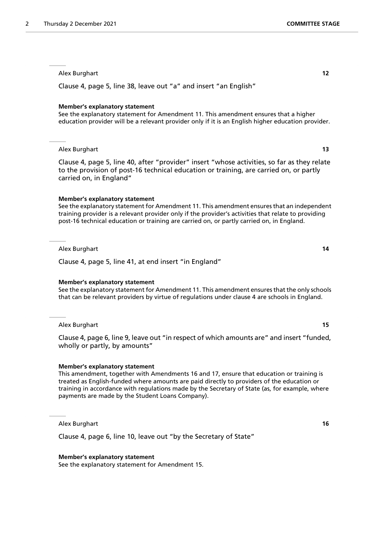Clause 4, page 5, line 38, leave out "a" and insert "an English"

#### **Member's explanatory statement**

See the explanatory statement for Amendment 11. This amendment ensures that a higher education provider will be a relevant provider only if it is an English higher education provider.

#### Alex Burghart **13**

Clause 4, page 5, line 40, after "provider" insert "whose activities, so far as they relate to the provision of post-16 technical education or training, are carried on, or partly carried on, in England"

#### **Member's explanatory statement**

See the explanatory statement for Amendment 11. This amendment ensures that an independent training provider is a relevant provider only if the provider's activities that relate to providing post-16 technical education or training are carried on, or partly carried on, in England.

Alex Burghart **14**

Clause 4, page 5, line 41, at end insert "in England"

#### **Member's explanatory statement**

See the explanatory statement for Amendment 11. This amendment ensures that the only schools that can be relevant providers by virtue of regulations under clause 4 are schools in England.

Alex Burghart **15**

Clause 4, page 6, line 9, leave out "in respect of which amounts are" and insert "funded, wholly or partly, by amounts"

#### **Member's explanatory statement**

This amendment, together with Amendments 16 and 17, ensure that education or training is treated as English-funded where amounts are paid directly to providers of the education or training in accordance with regulations made by the Secretary of State (as, for example, where payments are made by the Student Loans Company).

Alex Burghart **16**

Clause 4, page 6, line 10, leave out "by the Secretary of State"

#### **Member's explanatory statement**

See the explanatory statement for Amendment 15.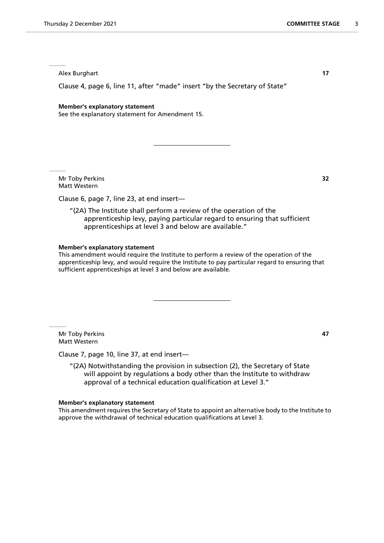Clause 4, page 6, line 11, after "made" insert "by the Secretary of State"

#### **Member's explanatory statement**

See the explanatory statement for Amendment 15.

Mr Toby Perkins **32** Matt Western

Clause 6, page 7, line 23, at end insert—

"(2A) The Institute shall perform a review of the operation of the apprenticeship levy, paying particular regard to ensuring that sufficient apprenticeships at level 3 and below are available."

#### **Member's explanatory statement**

This amendment would require the Institute to perform a review of the operation of the apprenticeship levy, and would require the Institute to pay particular regard to ensuring that sufficient apprenticeships at level 3 and below are available.

Mr Toby Perkins **47** Matt Western

Clause 7, page 10, line 37, at end insert—

"(2A) Notwithstanding the provision in subsection (2), the Secretary of State will appoint by regulations a body other than the Institute to withdraw approval of a technical education qualification at Level 3."

#### **Member's explanatory statement**

This amendment requires the Secretary of State to appoint an alternative body to the Institute to approve the withdrawal of technical education qualifications at Level 3.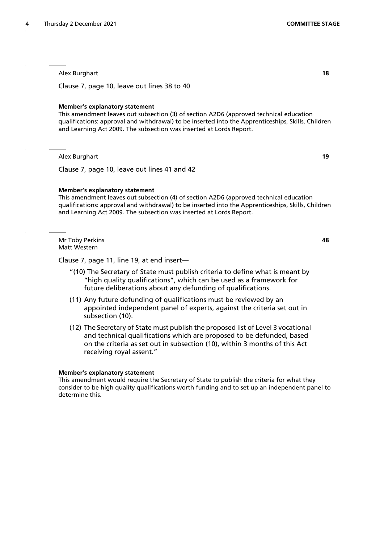Clause 7, page 10, leave out lines 38 to 40

#### **Member's explanatory statement**

This amendment leaves out subsection (3) of section A2D6 (approved technical education qualifications: approval and withdrawal) to be inserted into the Apprenticeships, Skills, Children and Learning Act 2009. The subsection was inserted at Lords Report.

Alex Burghart **19**

Clause 7, page 10, leave out lines 41 and 42

#### **Member's explanatory statement**

This amendment leaves out subsection (4) of section A2D6 (approved technical education qualifications: approval and withdrawal) to be inserted into the Apprenticeships, Skills, Children and Learning Act 2009. The subsection was inserted at Lords Report.

Mr Toby Perkins **48** Matt Western

Clause 7, page 11, line 19, at end insert—

- "(10) The Secretary of State must publish criteria to define what is meant by "high quality qualifications", which can be used as a framework for future deliberations about any defunding of qualifications.
- (11) Any future defunding of qualifications must be reviewed by an appointed independent panel of experts, against the criteria set out in subsection (10).
- (12) The Secretary of State must publish the proposed list of Level 3 vocational and technical qualifications which are proposed to be defunded, based on the criteria as set out in subsection (10), within 3 months of this Act receiving royal assent."

#### **Member's explanatory statement**

This amendment would require the Secretary of State to publish the criteria for what they consider to be high quality qualifications worth funding and to set up an independent panel to determine this.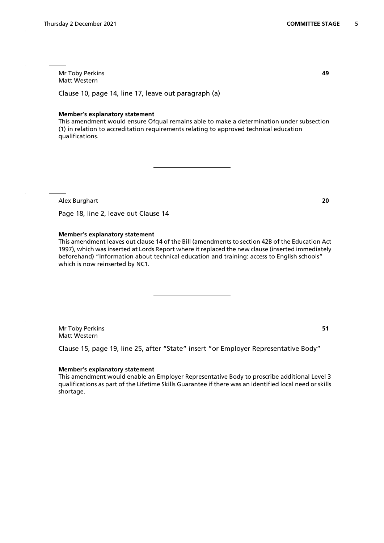Clause 10, page 14, line 17, leave out paragraph (a)

#### **Member's explanatory statement**

This amendment would ensure Ofqual remains able to make a determination under subsection (1) in relation to accreditation requirements relating to approved technical education qualifications.

Alex Burghart **20**

Page 18, line 2, leave out Clause 14

#### **Member's explanatory statement**

This amendment leaves out clause 14 of the Bill (amendments to section 42B of the Education Act 1997), which was inserted at Lords Report where it replaced the new clause (inserted immediately beforehand) "Information about technical education and training: access to English schools" which is now reinserted by NC1.

Mr Toby Perkins **51** Matt Western

Clause 15, page 19, line 25, after "State" insert "or Employer Representative Body"

#### **Member's explanatory statement**

This amendment would enable an Employer Representative Body to proscribe additional Level 3 qualifications as part of the Lifetime Skills Guarantee if there was an identified local need or skills shortage.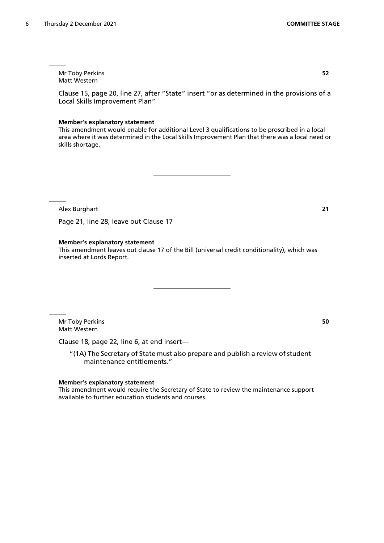Mr Toby Perkins **52** Matt Western

Clause 15, page 20, line 27, after "State" insert "or as determined in the provisions of a Local Skills Improvement Plan"

#### **Member's explanatory statement**

This amendment would enable for additional Level 3 qualifications to be proscribed in a local area where it was determined in the Local Skills Improvement Plan that there was a local need or skills shortage.

Alex Burghart **21**

Page 21, line 28, leave out Clause 17

#### **Member's explanatory statement**

This amendment leaves out clause 17 of the Bill (universal credit conditionality), which was inserted at Lords Report.

Mr Toby Perkins **50** Matt Western

Clause 18, page 22, line 6, at end insert—

"(1A) The Secretary of State must also prepare and publish a review of student maintenance entitlements."

#### **Member's explanatory statement**

This amendment would require the Secretary of State to review the maintenance support available to further education students and courses.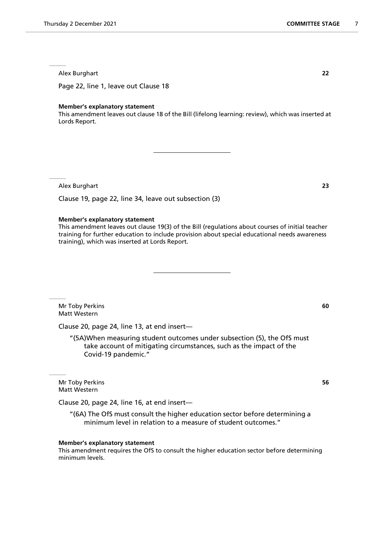Page 22, line 1, leave out Clause 18

#### **Member's explanatory statement**

This amendment leaves out clause 18 of the Bill (lifelong learning: review), which was inserted at Lords Report.

Alex Burghart **23**

Clause 19, page 22, line 34, leave out subsection (3)

#### **Member's explanatory statement**

This amendment leaves out clause 19(3) of the Bill (regulations about courses of initial teacher training for further education to include provision about special educational needs awareness training), which was inserted at Lords Report.

Mr Toby Perkins **60** Matt Western

Clause 20, page 24, line 13, at end insert—

"(5A)When measuring student outcomes under subsection (5), the OfS must take account of mitigating circumstances, such as the impact of the Covid-19 pandemic."

Mr Toby Perkins **56** Matt Western

Clause 20, page 24, line 16, at end insert—

"(6A) The OfS must consult the higher education sector before determining a minimum level in relation to a measure of student outcomes."

#### **Member's explanatory statement**

This amendment requires the OfS to consult the higher education sector before determining minimum levels.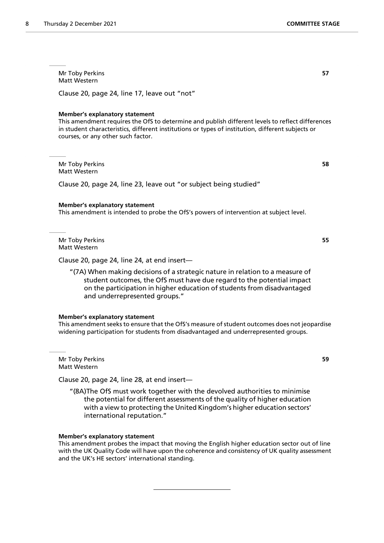Mr Toby Perkins **57** Matt Western

Clause 20, page 24, line 17, leave out "not"

#### **Member's explanatory statement**

This amendment requires the OfS to determine and publish different levels to reflect differences in student characteristics, different institutions or types of institution, different subjects or courses, or any other such factor.

Mr Toby Perkins **58** Matt Western

Clause 20, page 24, line 23, leave out "or subject being studied"

#### **Member's explanatory statement**

This amendment is intended to probe the OfS's powers of intervention at subject level.

Mr Toby Perkins **55** Matt Western

Clause 20, page 24, line 24, at end insert—

"(7A) When making decisions of a strategic nature in relation to a measure of student outcomes, the OfS must have due regard to the potential impact on the participation in higher education of students from disadvantaged and underrepresented groups."

#### **Member's explanatory statement**

This amendment seeks to ensure that the OfS's measure of student outcomes does not jeopardise widening participation for students from disadvantaged and underrepresented groups.

Mr Toby Perkins **59** Matt Western

Clause 20, page 24, line 28, at end insert—

"(8A)The OfS must work together with the devolved authorities to minimise the potential for different assessments of the quality of higher education with a view to protecting the United Kingdom's higher education sectors' international reputation."

#### **Member's explanatory statement**

This amendment probes the impact that moving the English higher education sector out of line with the UK Quality Code will have upon the coherence and consistency of UK quality assessment and the UK's HE sectors' international standing.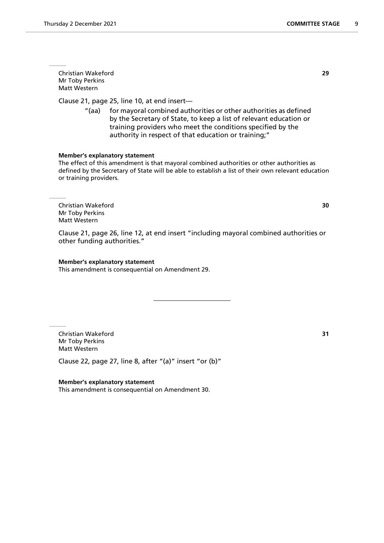Christian Wakeford **29** Mr Toby Perkins Matt Western

Clause 21, page 25, line 10, at end insert—

"(aa) for mayoral combined authorities or other authorities as defined by the Secretary of State, to keep a list of relevant education or training providers who meet the conditions specified by the authority in respect of that education or training;"

#### **Member's explanatory statement**

The effect of this amendment is that mayoral combined authorities or other authorities as defined by the Secretary of State will be able to establish a list of their own relevant education or training providers.

Christian Wakeford **30** Mr Toby Perkins Matt Western

Clause 21, page 26, line 12, at end insert "including mayoral combined authorities or other funding authorities."

#### **Member's explanatory statement**

This amendment is consequential on Amendment 29.

Christian Wakeford **31** Mr Toby Perkins Matt Western

Clause 22, page 27, line 8, after "(a)" insert "or (b)"

**Member's explanatory statement** This amendment is consequential on Amendment 30.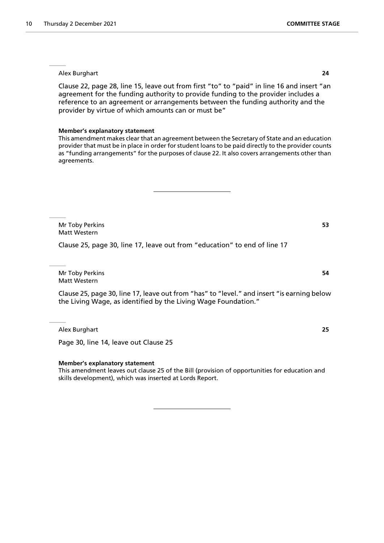Clause 22, page 28, line 15, leave out from first "to" to "paid" in line 16 and insert "an agreement for the funding authority to provide funding to the provider includes a reference to an agreement or arrangements between the funding authority and the provider by virtue of which amounts can or must be"

#### **Member's explanatory statement**

This amendment makes clear that an agreement between the Secretary of State and an education provider that must be in place in order for student loans to be paid directly to the provider counts as "funding arrangements" for the purposes of clause 22. It also covers arrangements other than agreements.

Mr Toby Perkins **53** Matt Western

Clause 25, page 30, line 17, leave out from "education" to end of line 17

Mr Toby Perkins **54** Matt Western

Clause 25, page 30, line 17, leave out from "has" to "level." and insert "is earning below the Living Wage, as identified by the Living Wage Foundation."

Alex Burghart **25**

Page 30, line 14, leave out Clause 25

#### **Member's explanatory statement**

This amendment leaves out clause 25 of the Bill (provision of opportunities for education and skills development), which was inserted at Lords Report.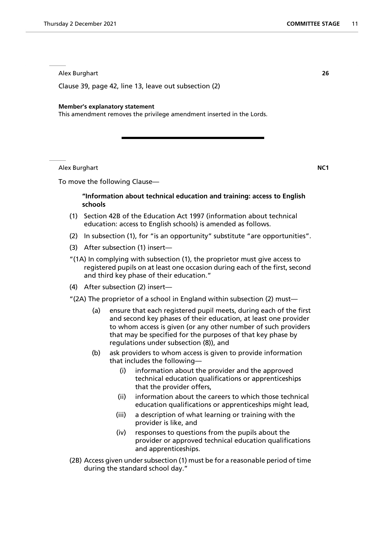Clause 39, page 42, line 13, leave out subsection (2)

#### **Member's explanatory statement**

This amendment removes the privilege amendment inserted in the Lords.

Alex Burghart **NC1**

To move the following Clause—

# **"Information about technical education and training: access to English schools**

- (1) Section 42B of the Education Act 1997 (information about technical education: access to English schools) is amended as follows.
- (2) In subsection (1), for "is an opportunity" substitute "are opportunities".
- (3) After subsection (1) insert—
- "(1A) In complying with subsection (1), the proprietor must give access to registered pupils on at least one occasion during each of the first, second and third key phase of their education."
- (4) After subsection (2) insert—
- "(2A) The proprietor of a school in England within subsection (2) must—
	- (a) ensure that each registered pupil meets, during each of the first and second key phases of their education, at least one provider to whom access is given (or any other number of such providers that may be specified for the purposes of that key phase by regulations under subsection (8)), and
	- (b) ask providers to whom access is given to provide information that includes the following—
		- (i) information about the provider and the approved technical education qualifications or apprenticeships that the provider offers,
		- (ii) information about the careers to which those technical education qualifications or apprenticeships might lead,
		- (iii) a description of what learning or training with the provider is like, and
		- (iv) responses to questions from the pupils about the provider or approved technical education qualifications and apprenticeships.
- (2B) Access given under subsection (1) must be for a reasonable period of time during the standard school day."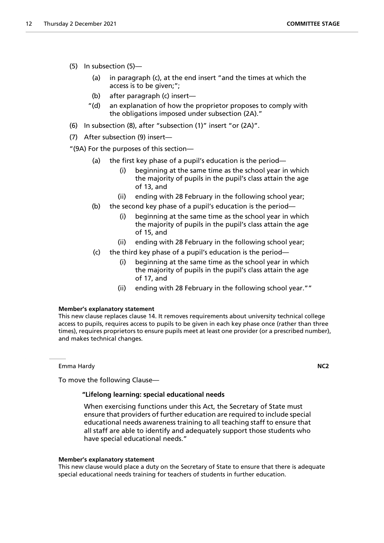- (5) In subsection (5)—
	- (a) in paragraph (c), at the end insert "and the times at which the access is to be given;";
	- (b) after paragraph (c) insert—
	- "(d) an explanation of how the proprietor proposes to comply with the obligations imposed under subsection (2A)."
- (6) In subsection (8), after "subsection (1)" insert "or (2A)".
- (7) After subsection (9) insert—

"(9A) For the purposes of this section—

- (a) the first key phase of a pupil's education is the period—
	- (i) beginning at the same time as the school year in which the majority of pupils in the pupil's class attain the age of 13, and
	- (ii) ending with 28 February in the following school year;
- (b) the second key phase of a pupil's education is the period—
	- (i) beginning at the same time as the school year in which the majority of pupils in the pupil's class attain the age of 15, and
	- (ii) ending with 28 February in the following school year;
- (c) the third key phase of a pupil's education is the period—
	- (i) beginning at the same time as the school year in which the majority of pupils in the pupil's class attain the age of 17, and
	- (ii) ending with 28 February in the following school year.""

# **Member's explanatory statement**

This new clause replaces clause 14. It removes requirements about university technical college access to pupils, requires access to pupils to be given in each key phase once (rather than three times), requires proprietors to ensure pupils meet at least one provider (or a prescribed number), and makes technical changes.

Emma Hardy **NC2**

To move the following Clause—

# **"Lifelong learning: special educational needs**

 When exercising functions under this Act, the Secretary of State must ensure that providers of further education are required to include special educational needs awareness training to all teaching staff to ensure that all staff are able to identify and adequately support those students who have special educational needs."

#### **Member's explanatory statement**

This new clause would place a duty on the Secretary of State to ensure that there is adequate special educational needs training for teachers of students in further education.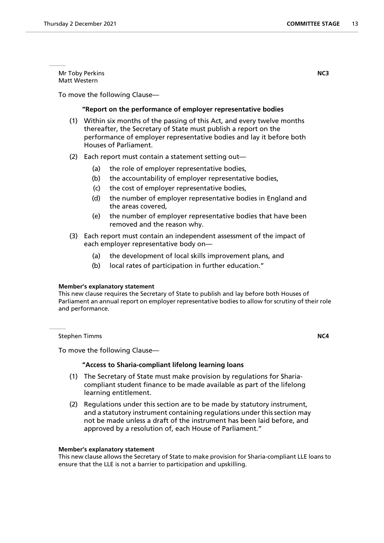Mr Toby Perkins **NC3** Matt Western

To move the following Clause—

# **"Report on the performance of employer representative bodies**

- (1) Within six months of the passing of this Act, and every twelve months thereafter, the Secretary of State must publish a report on the performance of employer representative bodies and lay it before both Houses of Parliament.
- (2) Each report must contain a statement setting out—
	- (a) the role of employer representative bodies,
	- (b) the accountability of employer representative bodies,
	- (c) the cost of employer representative bodies,
	- (d) the number of employer representative bodies in England and the areas covered,
	- (e) the number of employer representative bodies that have been removed and the reason why.
- (3) Each report must contain an independent assessment of the impact of each employer representative body on—
	- (a) the development of local skills improvement plans, and
	- (b) local rates of participation in further education."

#### **Member's explanatory statement**

This new clause requires the Secretary of State to publish and lay before both Houses of Parliament an annual report on employer representative bodies to allow for scrutiny of their role and performance.

**Stephen Timms NC4** 

To move the following Clause—

#### **"Access to Sharia-compliant lifelong learning loans**

- (1) The Secretary of State must make provision by regulations for Shariacompliant student finance to be made available as part of the lifelong learning entitlement.
- (2) Regulations under this section are to be made by statutory instrument, and a statutory instrument containing regulations under this section may not be made unless a draft of the instrument has been laid before, and approved by a resolution of, each House of Parliament."

#### **Member's explanatory statement**

This new clause allows the Secretary of State to make provision for Sharia-compliant LLE loans to ensure that the LLE is not a barrier to participation and upskilling.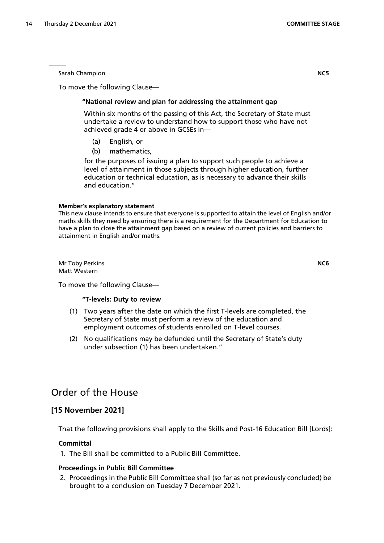Sarah Champion **NC5**

To move the following Clause—

# **"National review and plan for addressing the attainment gap**

 Within six months of the passing of this Act, the Secretary of State must undertake a review to understand how to support those who have not achieved grade 4 or above in GCSEs in—

- (a) English, or
- (b) mathematics,

for the purposes of issuing a plan to support such people to achieve a level of attainment in those subjects through higher education, further education or technical education, as is necessary to advance their skills and education."

#### **Member's explanatory statement**

This new clause intends to ensure that everyone is supported to attain the level of English and/or maths skills they need by ensuring there is a requirement for the Department for Education to have a plan to close the attainment gap based on a review of current policies and barriers to attainment in English and/or maths.

Mr Toby Perkins **NC6** Matt Western

To move the following Clause—

#### **"T-levels: Duty to review**

- (1) Two years after the date on which the first T-levels are completed, the Secretary of State must perform a review of the education and employment outcomes of students enrolled on T-level courses.
- (2) No qualifications may be defunded until the Secretary of State's duty under subsection (1) has been undertaken."

# Order of the House

# **[15 November 2021]**

That the following provisions shall apply to the Skills and Post-16 Education Bill [Lords]:

## **Committal**

1. The Bill shall be committed to a Public Bill Committee.

## **Proceedings in Public Bill Committee**

2. Proceedings in the Public Bill Committee shall (so far as not previously concluded) be brought to a conclusion on Tuesday 7 December 2021.